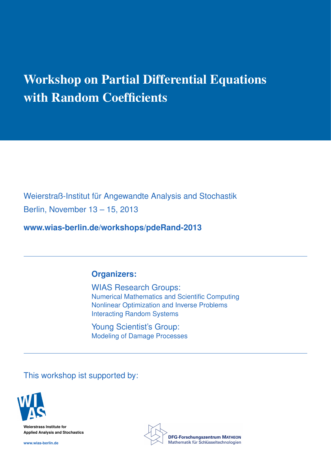# Workshop on Partial Differential Equations with Random Coefficients

Weierstraß-Institut für Angewandte Analysis and Stochastik Berlin, November 13 – 15, 2013

**www.wias-berlin.de/workshops/pdeRand-2013**

# **Organizers:**

WIAS Research Groups: Numerical Mathematics and Scientific Computing Nonlinear Optimization and Inverse Problems Interacting Random Systems

Young Scientist's Group: Modeling of Damage Processes

This workshop ist supported by:



**Weierstrass Institute for Applied Analysis and Stochastics**

**www.wias-berlin.de**

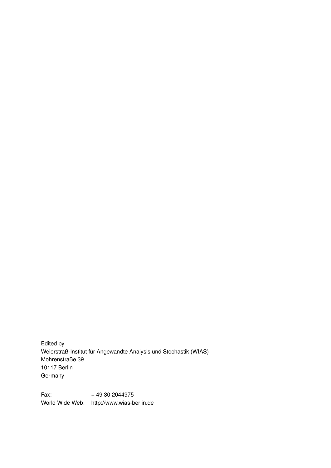Edited by Weierstraß-Institut für Angewandte Analysis und Stochastik (WIAS) Mohrenstraße 39 10117 Berlin Germany

Fax: + 49 30 2044975 World Wide Web: http://www.wias-berlin.de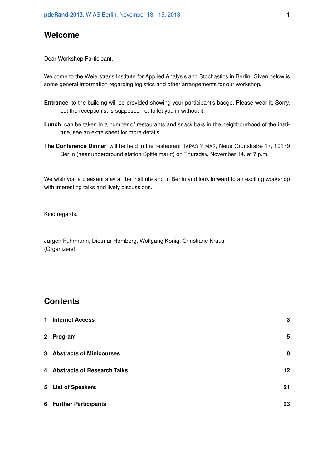# **Welcome**

Dear Workshop Participant,

Welcome to the Weierstrass Institute for Applied Analysis and Stochastics in Berlin. Given below is some general information regarding logistics and other arrangements for our workshop.

- **Entrance** to the building will be provided showing your participant's badge. Please wear it. Sorry, but the receptionist is supposed not to let you in without it.
- **Lunch** can be taken in a number of restaurants and snack bars in the neighbourhood of the institute, see an extra sheet for more details.
- **The Conference Dinner** will be held in the restaurant TAPAS Y MÁS, Neue Grünstraße 17, 10179 Berlin (near underground station Spittelmarkt) on Thursday, November 14. at 7 p.m.

We wish you a pleasant stay at the Institute and in Berlin and look forward to an exciting workshop with interesting talks and lively discussions.

Kind regards,

Jürgen Fuhrmann, Dietmar Hömberg, Wolfgang König, Christiane Kraus (Organizers)

# **Contents**

| $\mathbf{1}$ | <b>Internet Access</b>        | 3  |
|--------------|-------------------------------|----|
|              | 2 Program                     | 5  |
|              | 3 Abstracts of Minicourses    | 8  |
|              | 4 Abstracts of Research Talks | 12 |
|              | 5 List of Speakers            | 21 |
|              | 6 Further Participants        | 23 |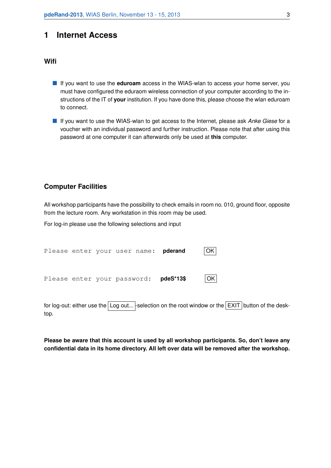## **1 Internet Access**

#### **Wifi**

- **If** you want to use the **eduroam** access in the WIAS-wlan to access your home server, you must have configured the eduraom wireless connection of your computer according to the instructions of the IT of **your** institution. If you have done this, please choose the wlan eduroam to connect.
- If you want to use the WIAS-wlan to get access to the Internet, please ask *Anke Giese* for a voucher with an individual password and further instruction. Please note that after using this password at one computer it can afterwards only be used at **this** computer.

#### **Computer Facilities**

All workshop participants have the possibility to check emails in room no. 010, ground floor, opposite from the lecture room. Any workstation in this room may be used.

For log-in please use the following selections and input

```
Please enter your user name: pderand OK
Please enter your password: pdeS*13$ OK
```
for log-out: either use the  $Log out...$  -selection on the root window or the  $EXIT$  button of the desktop.

**Please be aware that this account is used by all workshop participants. So, don't leave any confidential data in its home directory. All left over data will be removed after the workshop.**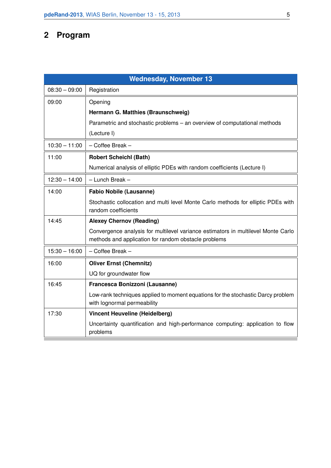# **2 Program**

| <b>Wednesday, November 13</b> |                                                                                                                                           |  |  |  |  |  |  |
|-------------------------------|-------------------------------------------------------------------------------------------------------------------------------------------|--|--|--|--|--|--|
| $08:30 - 09:00$               | Registration                                                                                                                              |  |  |  |  |  |  |
| 09:00                         | Opening                                                                                                                                   |  |  |  |  |  |  |
|                               | Hermann G. Matthies (Braunschweig)                                                                                                        |  |  |  |  |  |  |
|                               | Parametric and stochastic problems – an overview of computational methods                                                                 |  |  |  |  |  |  |
|                               | (Lecture I)                                                                                                                               |  |  |  |  |  |  |
| $10:30 - 11:00$               | - Coffee Break -                                                                                                                          |  |  |  |  |  |  |
| 11:00                         | <b>Robert Scheichl (Bath)</b>                                                                                                             |  |  |  |  |  |  |
|                               | Numerical analysis of elliptic PDEs with random coefficients (Lecture I)                                                                  |  |  |  |  |  |  |
| $12:30 - 14:00$               | - Lunch Break -                                                                                                                           |  |  |  |  |  |  |
| 14:00                         | <b>Fabio Nobile (Lausanne)</b>                                                                                                            |  |  |  |  |  |  |
|                               | Stochastic collocation and multi level Monte Carlo methods for elliptic PDEs with<br>random coefficients                                  |  |  |  |  |  |  |
| 14:45                         | <b>Alexey Chernov (Reading)</b>                                                                                                           |  |  |  |  |  |  |
|                               | Convergence analysis for multilevel variance estimators in multilevel Monte Carlo<br>methods and application for random obstacle problems |  |  |  |  |  |  |
| $15:30 - 16:00$               | - Coffee Break -                                                                                                                          |  |  |  |  |  |  |
| 16:00                         | <b>Oliver Ernst (Chemnitz)</b>                                                                                                            |  |  |  |  |  |  |
|                               | UQ for groundwater flow                                                                                                                   |  |  |  |  |  |  |
| 16:45                         | Francesca Bonizzoni (Lausanne)                                                                                                            |  |  |  |  |  |  |
|                               | Low-rank techniques applied to moment equations for the stochastic Darcy problem<br>with lognormal permeability                           |  |  |  |  |  |  |
| 17:30                         | <b>Vincent Heuveline (Heidelberg)</b>                                                                                                     |  |  |  |  |  |  |
|                               | Uncertainty quantification and high-performance computing: application to flow<br>problems                                                |  |  |  |  |  |  |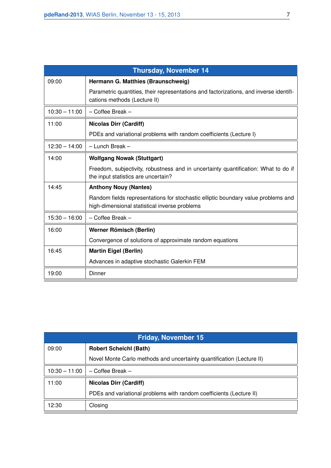| <b>Thursday, November 14</b> |                                                                                                                                    |  |  |  |  |  |  |
|------------------------------|------------------------------------------------------------------------------------------------------------------------------------|--|--|--|--|--|--|
| 09:00                        | Hermann G. Matthies (Braunschweig)                                                                                                 |  |  |  |  |  |  |
|                              | Parametric quantities, their representations and factorizations, and inverse identifi-<br>cations methods (Lecture II)             |  |  |  |  |  |  |
| $10:30 - 11:00$              | $-$ Coffee Break $-$                                                                                                               |  |  |  |  |  |  |
| 11:00                        | <b>Nicolas Dirr (Cardiff)</b>                                                                                                      |  |  |  |  |  |  |
|                              | PDEs and variational problems with random coefficients (Lecture I)                                                                 |  |  |  |  |  |  |
| $12:30 - 14:00$              | $-$ Lunch Break $-$                                                                                                                |  |  |  |  |  |  |
| 14:00                        | <b>Wolfgang Nowak (Stuttgart)</b>                                                                                                  |  |  |  |  |  |  |
|                              | Freedom, subjectivity, robustness and in uncertainty quantification: What to do if<br>the input statistics are uncertain?          |  |  |  |  |  |  |
| 14:45                        | <b>Anthony Nouy (Nantes)</b>                                                                                                       |  |  |  |  |  |  |
|                              | Random fields representations for stochastic elliptic boundary value problems and<br>high-dimensional statistical inverse problems |  |  |  |  |  |  |
| $15:30 - 16:00$              | - Coffee Break -                                                                                                                   |  |  |  |  |  |  |
| 16:00                        | Werner Römisch (Berlin)                                                                                                            |  |  |  |  |  |  |
|                              | Convergence of solutions of approximate random equations                                                                           |  |  |  |  |  |  |
| 16:45                        | <b>Martin Eigel (Berlin)</b>                                                                                                       |  |  |  |  |  |  |
|                              | Advances in adaptive stochastic Galerkin FEM                                                                                       |  |  |  |  |  |  |
| 19:00                        | Dinner                                                                                                                             |  |  |  |  |  |  |

| <b>Friday, November 15</b> |                                                                       |  |  |  |  |  |  |
|----------------------------|-----------------------------------------------------------------------|--|--|--|--|--|--|
| 09:00                      | <b>Robert Scheichl (Bath)</b>                                         |  |  |  |  |  |  |
|                            | Novel Monte Carlo methods and uncertainty quantification (Lecture II) |  |  |  |  |  |  |
| $10:30 - 11:00$            | $-$ Coffee Break $-$                                                  |  |  |  |  |  |  |
| 11:00                      | <b>Nicolas Dirr (Cardiff)</b>                                         |  |  |  |  |  |  |
|                            | PDEs and variational problems with random coefficients (Lecture II)   |  |  |  |  |  |  |
| 12:30                      | Closing                                                               |  |  |  |  |  |  |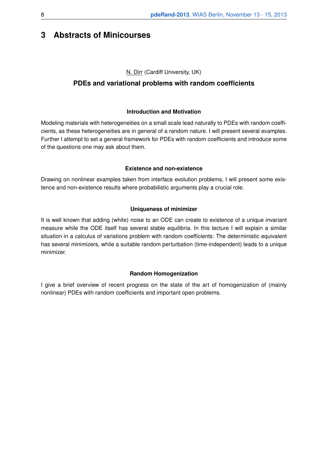# **3 Abstracts of Minicourses**

#### N. Dirr (Cardiff University, UK)

# **PDEs and variational problems with random coefficients**

#### **Introduction and Motivation**

Modeling materials with heterogeneities on a small scale lead naturally to PDEs with random coefficients, as these heterogeneities are in general of a random nature. I will present several examples. Further I attempt to set a general framework for PDEs with random coefficients and introduce some of the questions one may ask about them.

#### **Existence and non-existence**

Drawing on nonlinear examples taken from interface evolution problems, I will present some existence and non-existence results where probabilistic arguments play a crucial role.

#### **Uniqueness of minimizer**

It is well known that adding (white) noise to an ODE can create to existence of a unique invariant measure while the ODE itself has several stable equilibria. In this lecture I will explain a similar situation in a calculus of variations problem with random coefficients: The deterministic equivalent has several minimizers, while a suitable random perturbation (time-independent) leads to a unique minimizer.

#### **Random Homogenization**

I give a brief overview of recent progress on the state of the art of homogenization of (mainly nonlinear) PDEs with random coefficients and important open problems.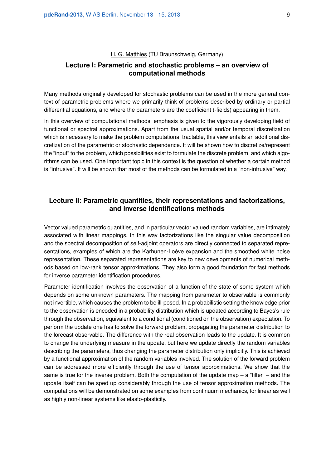H. G. Matthies (TU Braunschweig, Germany)

## **Lecture I: Parametric and stochastic problems – an overview of computational methods**

Many methods originally developed for stochastic problems can be used in the more general context of parametric problems where we primarily think of problems described by ordinary or partial differential equations, and where the parameters are the coefficient (-fields) appearing in them.

In this overview of computational methods, emphasis is given to the vigorously developing field of functional or spectral approximations. Apart from the usual spatial and/or temporal discretization which is necessary to make the problem computational tractable, this view entails an additional discretization of the parametric or stochastic dependence. It will be shown how to discretize/represent the "input" to the problem, which possibilities exist to formulate the discrete problem, and which algorithms can be used. One important topic in this context is the question of whether a certain method is "intrusive". It will be shown that most of the methods can be formulated in a "non-intrusive" way.

#### **Lecture II: Parametric quantities, their representations and factorizations, and inverse identifications methods**

Vector valued parametric quantities, and in particular vector valued random variables, are intimately associated with linear mappings. In this way factorizations like the singular value decomposition and the spectral decomposition of self-adjoint operators are directly connected to separated representations, examples of which are the Karhunen-Loève expansion and the smoothed white noise representation. These separated representations are key to new developments of numerical methods based on low-rank tensor approximations. They also form a good foundation for fast methods for inverse parameter identification procedures.

Parameter identification involves the observation of a function of the state of some system which depends on some unknown parameters. The mapping from parameter to observable is commonly not invertible, which causes the problem to be ill-posed. In a probabilistic setting the knowledge prior to the observation is encoded in a probability distribution which is updated according to Bayes's rule through the observation, equivalent to a conditional (conditioned on the observation) expectation. To perform the update one has to solve the forward problem, propagating the parameter distribution to the forecast observable. The difference with the real observation leads to the update. It is common to change the underlying measure in the update, but here we update directly the random variables describing the parameters, thus changing the parameter distribution only implicitly. This is achieved by a functional approximation of the random variables involved. The solution of the forward problem can be addressed more efficiently through the use of tensor approximations. We show that the same is true for the inverse problem. Both the computation of the update map  $-$  a "filter"  $-$  and the update itself can be sped up considerably through the use of tensor approximation methods. The computations will be demonstrated on some examples from continuum mechanics, for linear as well as highly non-linear systems like elasto-plasticity.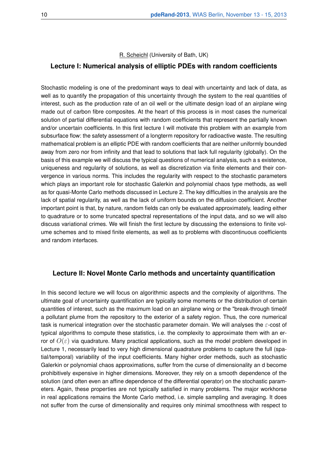R. Scheichl (University of Bath, UK)

#### **Lecture I: Numerical analysis of elliptic PDEs with random coefficients**

Stochastic modeling is one of the predominant ways to deal with uncertainty and lack of data, as well as to quantify the propagation of this uncertainty through the system to the real quantities of interest, such as the production rate of an oil well or the ultimate design load of an airplane wing made out of carbon fibre composites. At the heart of this process is in most cases the numerical solution of partial differential equations with random coefficients that represent the partially known and/or uncertain coefficients. In this first lecture I will motivate this problem with an example from subsurface flow: the safety assessment of a longterm repository for radioactive waste. The resulting mathematical problem is an elliptic PDE with random coefficients that are neither uniformly bounded away from zero nor from infinity and that lead to solutions that lack full regularity (globally). On the basis of this example we will discuss the typical questions of numerical analysis, such a s existence, uniqueness and regularity of solutions, as well as discretization via finite elements and their convergence in various norms. This includes the regularity with respect to the stochastic parameters which plays an important role for stochastic Galerkin and polynomial chaos type methods, as well as for quasi-Monte Carlo methods discussed in Lecture 2. The key difficulties in the analysis are the lack of spatial regularity, as well as the lack of uniform bounds on the diffusion coefficient. Another important point is that, by nature, random fields can only be evaluated approximately, leading either to quadrature or to some truncated spectral representations of the input data, and so we will also discuss variational crimes. We will finish the first lecture by discussing the extensions to finite volume schemes and to mixed finite elements, as well as to problems with discontinuous coefficients and random interfaces.

#### **Lecture II: Novel Monte Carlo methods and uncertainty quantification**

In this second lecture we will focus on algorithmic aspects and the complexity of algorithms. The ultimate goal of uncertainty quantification are typically some moments or the distribution of certain quantities of interest, such as the maximum load on an airplane wing or the "break-through timeöf a pollutant plume from the repository to the exterior of a safety region. Thus, the core numerical task is numerical integration over the stochastic parameter domain. We will analyses the  $\varepsilon$ -cost of typical algorithms to compute these statistics, i.e. the complexity to approximate them with an error of  $O(\varepsilon)$  via quadrature. Many practical applications, such as the model problem developed in Lecture 1, necessarily lead to very high dimensional quadrature problems to capture the full (spatial/temporal) variability of the input coefficients. Many higher order methods, such as stochastic Galerkin or polynomial chaos approximations, suffer from the curse of dimensionality an d become prohibitively expensive in higher dimensions. Moreover, they rely on a smooth dependence of the solution (and often even an affine dependence of the differential operator) on the stochastic parameters. Again, these properties are not typically satisfied in many problems. The major workhorse in real applications remains the Monte Carlo method, i.e. simple sampling and averaging. It does not suffer from the curse of dimensionality and requires only minimal smoothness with respect to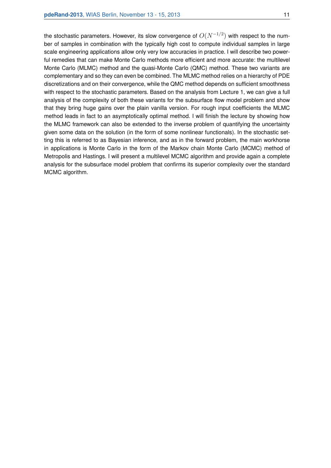the stochastic parameters. However, its slow convergence of  $O(N^{-1/2})$  with respect to the number of samples in combination with the typically high cost to compute individual samples in large scale engineering applications allow only very low accuracies in practice. I will describe two powerful remedies that can make Monte Carlo methods more efficient and more accurate: the multilevel Monte Carlo (MLMC) method and the quasi-Monte Carlo (QMC) method. These two variants are complementary and so they can even be combined. The MLMC method relies on a hierarchy of PDE discretizations and on their convergence, while the QMC method depends on sufficient smoothness with respect to the stochastic parameters. Based on the analysis from Lecture 1, we can give a full analysis of the complexity of both these variants for the subsurface flow model problem and show that they bring huge gains over the plain vanilla version. For rough input coefficients the MLMC method leads in fact to an asymptotically optimal method. I will finish the lecture by showing how the MLMC framework can also be extended to the inverse problem of quantifying the uncertainty given some data on the solution (in the form of some nonlinear functionals). In the stochastic setting this is referred to as Bayesian inference, and as in the forward problem, the main workhorse in applications is Monte Carlo in the form of the Markov chain Monte Carlo (MCMC) method of Metropolis and Hastings. I will present a multilevel MCMC algorithm and provide again a complete analysis for the subsurface model problem that confirms its superior complexity over the standard MCMC algorithm.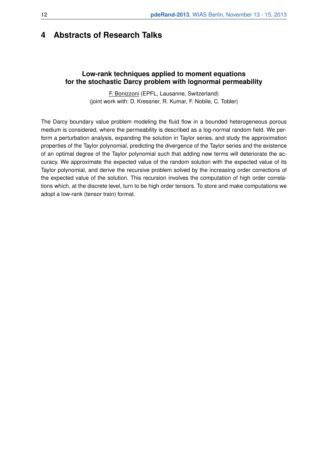# **4 Abstracts of Research Talks**

#### **Low-rank techniques applied to moment equations for the stochastic Darcy problem with lognormal permeability**

F. Bonizzoni (EPFL, Lausanne, Switzerland) (joint work with: D. Kressner, R. Kumar, F. Nobile, C. Tobler)

The Darcy boundary value problem modeling the fluid flow in a bounded heterogeneous porous medium is considered, where the permeability is described as a log-normal random field. We perform a perturbation analysis, expanding the solution in Taylor series, and study the approximation properties of the Taylor polynomial, predicting the divergence of the Taylor series and the existence of an optimal degree of the Taylor polynomial such that adding new terms will deteriorate the accuracy. We approximate the expected value of the random solution with the expected value of its Taylor polynomial, and derive the recursive problem solved by the increasing order corrections of the expected value of the solution. This recursion involves the computation of high order correlations which, at the discrete level, turn to be high order tensors. To store and make computations we adopt a low-rank (tensor train) format.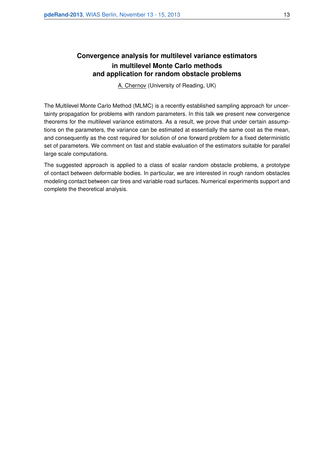# **Convergence analysis for multilevel variance estimators in multilevel Monte Carlo methods and application for random obstacle problems**

A. Chernov (University of Reading, UK)

The Multilevel Monte Carlo Method (MLMC) is a recently established sampling approach for uncertainty propagation for problems with random parameters. In this talk we present new convergence theorems for the multilevel variance estimators. As a result, we prove that under certain assumptions on the parameters, the variance can be estimated at essentially the same cost as the mean, and consequently as the cost required for solution of one forward problem for a fixed deterministic set of parameters. We comment on fast and stable evaluation of the estimators suitable for parallel large scale computations.

The suggested approach is applied to a class of scalar random obstacle problems, a prototype of contact between deformable bodies. In particular, we are interested in rough random obstacles modeling contact between car tires and variable road surfaces. Numerical experiments support and complete the theoretical analysis.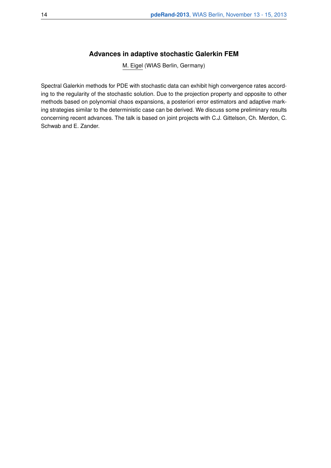#### **Advances in adaptive stochastic Galerkin FEM**

M. Eigel (WIAS Berlin, Germany)

Spectral Galerkin methods for PDE with stochastic data can exhibit high convergence rates according to the regularity of the stochastic solution. Due to the projection property and opposite to other methods based on polynomial chaos expansions, a posteriori error estimators and adaptive marking strategies similar to the deterministic case can be derived. We discuss some preliminary results concerning recent advances. The talk is based on joint projects with C.J. Gittelson, Ch. Merdon, C. Schwab and E. Zander.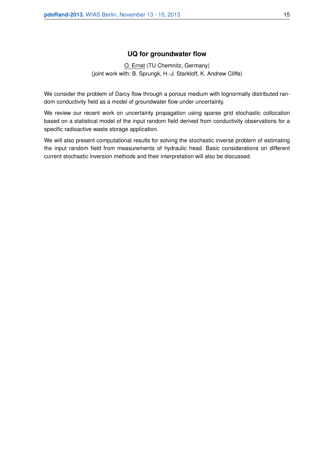#### **UQ for groundwater flow**

O. Ernst (TU Chemnitz, Germany) (joint work with: B. Sprungk, H.-J. Starkloff, K. Andrew Cliffe)

We consider the problem of Darcy flow through a porous medium with lognormally distributed random conductivity field as a model of groundwater flow under uncertainty.

We review our recent work on uncertainty propagation using sparse grid stochastic collocation based on a statistical model of the input random field derived from conductivity observations for a specific radioactive waste storage application.

We will also present computational results for solving the stochastic inverse problem of estimating the input random field from measurements of hydraulic head. Basic considerations on different current stochastic inversion methods and their interpretation will also be discussed.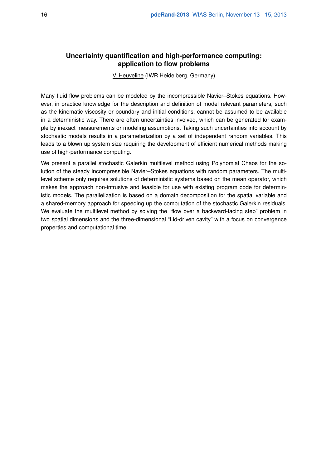#### **Uncertainty quantification and high-performance computing: application to flow problems**

V. Heuveline (IWR Heidelberg, Germany)

Many fluid flow problems can be modeled by the incompressible Navier–Stokes equations. However, in practice knowledge for the description and definition of model relevant parameters, such as the kinematic viscosity or boundary and initial conditions, cannot be assumed to be available in a deterministic way. There are often uncertainties involved, which can be generated for example by inexact measurements or modeling assumptions. Taking such uncertainties into account by stochastic models results in a parameterization by a set of independent random variables. This leads to a blown up system size requiring the development of efficient numerical methods making use of high-performance computing.

We present a parallel stochastic Galerkin multilevel method using Polynomial Chaos for the solution of the steady incompressible Navier–Stokes equations with random parameters. The multilevel scheme only requires solutions of deterministic systems based on the mean operator, which makes the approach non-intrusive and feasible for use with existing program code for deterministic models. The parallelization is based on a domain decomposition for the spatial variable and a shared-memory approach for speeding up the computation of the stochastic Galerkin residuals. We evaluate the multilevel method by solving the "flow over a backward-facing step" problem in two spatial dimensions and the three-dimensional "Lid-driven cavity" with a focus on convergence properties and computational time.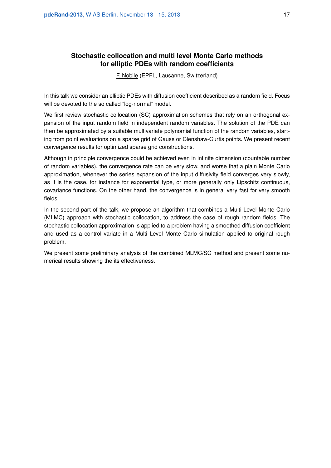#### **Stochastic collocation and multi level Monte Carlo methods for elliptic PDEs with random coefficients**

F. Nobile (EPFL, Lausanne, Switzerland)

In this talk we consider an elliptic PDEs with diffusion coefficient described as a random field. Focus will be devoted to the so called "log-normal" model.

We first review stochastic collocation (SC) approximation schemes that rely on an orthogonal expansion of the input random field in independent random variables. The solution of the PDE can then be approximated by a suitable multivariate polynomial function of the random variables, starting from point evaluations on a sparse grid of Gauss or Clenshaw-Curtis points. We present recent convergence results for optimized sparse grid constructions.

Although in principle convergence could be achieved even in infinite dimension (countable number of random variables), the convergence rate can be very slow, and worse that a plain Monte Carlo approximation, whenever the series expansion of the input diffusivity field converges very slowly, as it is the case, for instance for exponential type, or more generally only Lipschitz continuous, covariance functions. On the other hand, the convergence is in general very fast for very smooth fields.

In the second part of the talk, we propose an algorithm that combines a Multi Level Monte Carlo (MLMC) approach with stochastic collocation, to address the case of rough random fields. The stochastic collocation approximation is applied to a problem having a smoothed diffusion coefficient and used as a control variate in a Multi Level Monte Carlo simulation applied to original rough problem.

We present some preliminary analysis of the combined MLMC/SC method and present some numerical results showing the its effectiveness.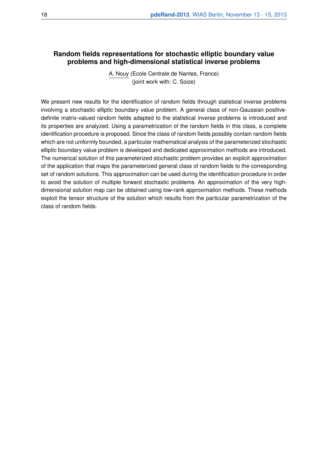#### **Random fields representations for stochastic elliptic boundary value problems and high-dimensional statistical inverse problems**

A. Nouy (Ecole Centrale de Nantes, France) (joint work with: C. Soize)

We present new results for the identification of random fields through statistical inverse problems involving a stochastic elliptic boundary value problem. A general class of non-Gaussian positivedefinite matrix-valued random fields adapted to the statistical inverse problems is introduced and its properties are analyzed. Using a parametrization of the random fields in this class, a complete identification procedure is proposed. Since the class of random fields possibly contain random fields which are not uniformly bounded, a particular mathematical analysis of the parameterized stochastic elliptic boundary value problem is developed and dedicated approximation methods are introduced. The numerical solution of this parameterized stochastic problem provides an explicit approximation of the application that maps the parameterized general class of random fields to the corresponding set of random solutions. This approximation can be used during the identification procedure in order to avoid the solution of multiple forward stochastic problems. An approximation of the very highdimensional solution map can be obtained using low-rank approximation methods. These methods exploit the tensor structure of the solution which results from the particular parametrization of the class of random fields.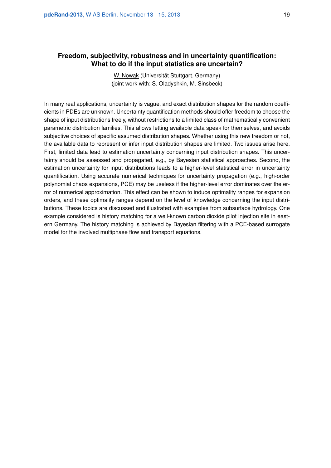#### **Freedom, subjectivity, robustness and in uncertainty quantification: What to do if the input statistics are uncertain?**

W. Nowak (Universität Stuttgart, Germany) (joint work with: S. Oladyshkin, M. Sinsbeck)

In many real applications, uncertainty is vague, and exact distribution shapes for the random coefficients in PDEs are unknown. Uncertainty quantification methods should offer freedom to choose the shape of input distributions freely, without restrictions to a limited class of mathematically convenient parametric distribution families. This allows letting available data speak for themselves, and avoids subjective choices of specific assumed distribution shapes. Whether using this new freedom or not, the available data to represent or infer input distribution shapes are limited. Two issues arise here. First, limited data lead to estimation uncertainty concerning input distribution shapes. This uncertainty should be assessed and propagated, e.g., by Bayesian statistical approaches. Second, the estimation uncertainty for input distributions leads to a higher-level statistical error in uncertainty quantification. Using accurate numerical techniques for uncertainty propagation (e.g., high-order polynomial chaos expansions, PCE) may be useless if the higher-level error dominates over the error of numerical approximation. This effect can be shown to induce optimality ranges for expansion orders, and these optimality ranges depend on the level of knowledge concerning the input distributions. These topics are discussed and illustrated with examples from subsurface hydrology. One example considered is history matching for a well-known carbon dioxide pilot injection site in eastern Germany. The history matching is achieved by Bayesian filtering with a PCE-based surrogate model for the involved multiphase flow and transport equations.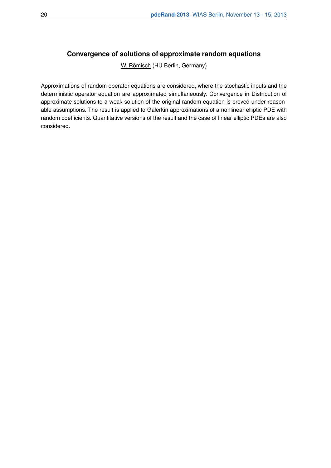# **Convergence of solutions of approximate random equations**

W. Römisch (HU Berlin, Germany)

Approximations of random operator equations are considered, where the stochastic inputs and the deterministic operator equation are approximated simultaneously. Convergence in Distribution of approximate solutions to a weak solution of the original random equation is proved under reasonable assumptions. The result is applied to Galerkin approximations of a nonlinear elliptic PDE with random coefficients. Quantitative versions of the result and the case of linear elliptic PDEs are also considered.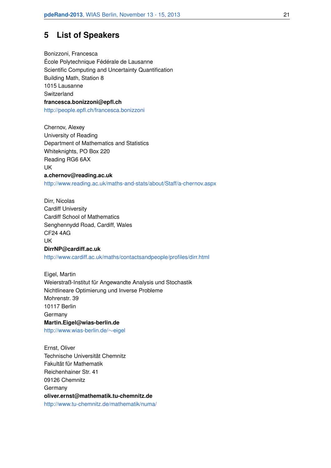# **5 List of Speakers**

Bonizzoni, Francesca École Polytechnique Fédérale de Lausanne Scientific Computing and Uncertainty Quantification Building Math, Station 8 1015 Lausanne **Switzerland francesca.bonizzoni@epfl.ch** http://people.epfl.ch/francesca.bonizzoni

Chernov, Alexey University of Reading Department of Mathematics and Statistics Whiteknights, PO Box 220 Reading RG6 6AX UK **a.chernov@reading.ac.uk** http://www.reading.ac.uk/maths-and-stats/about/Staff/a-chernov.aspx

Dirr, Nicolas Cardiff University Cardiff School of Mathematics Senghennydd Road, Cardiff, Wales CF24 4AG UK **DirrNP@cardiff.ac.uk** http://www.cardiff.ac.uk/maths/contactsandpeople/profiles/dirr.html

Eigel, Martin Weierstraß-Institut für Angewandte Analysis und Stochastik Nichtlineare Optimierung und Inverse Probleme Mohrenstr. 39 10117 Berlin Germany **Martin.Eigel@wias-berlin.de** http://www.wias-berlin.de/∼eigel

Ernst, Oliver Technische Universität Chemnitz Fakultät für Mathematik Reichenhainer Str. 41 09126 Chemnitz Germany **oliver.ernst@mathematik.tu-chemnitz.de** http://www.tu-chemnitz.de/mathematik/numa/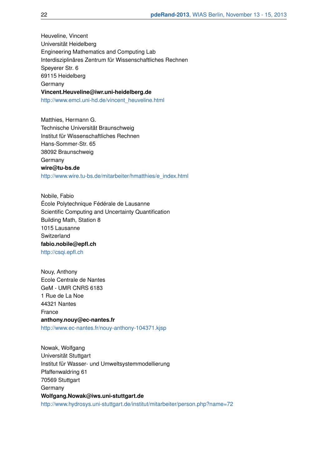Heuveline, Vincent Universität Heidelberg Engineering Mathematics and Computing Lab Interdisziplinäres Zentrum für Wissenschaftliches Rechnen Speyerer Str. 6 69115 Heidelberg Germany **Vincent.Heuveline@iwr.uni-heidelberg.de** http://www.emcl.uni-hd.de/vincent\_heuveline.html

Matthies, Hermann G. Technische Universität Braunschweig Institut für Wissenschaftliches Rechnen Hans-Sommer-Str. 65 38092 Braunschweig Germany **wire@tu-bs.de** http://www.wire.tu-bs.de/mitarbeiter/hmatthies/e\_index.html

Nobile, Fabio École Polytechnique Fédérale de Lausanne Scientific Computing and Uncertainty Quantification Building Math, Station 8 1015 Lausanne **Switzerland fabio.nobile@epfl.ch** http://csqi.epfl.ch

Nouy, Anthony Ecole Centrale de Nantes GeM - UMR CNRS 6183 1 Rue de La Noe 44321 Nantes France **anthony.nouy@ec-nantes.fr** http://www.ec-nantes.fr/nouy-anthony-104371.kjsp

Nowak, Wolfgang Universität Stuttgart Institut für Wasser- und Umweltsystemmodellierung Pfaffenwaldring 61 70569 Stuttgart Germany **Wolfgang.Nowak@iws.uni-stuttgart.de** http://www.hydrosys.uni-stuttgart.de/institut/mitarbeiter/person.php?name=72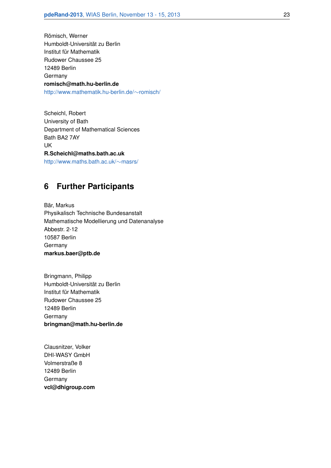Römisch, Werner Humboldt-Universität zu Berlin Institut für Mathematik Rudower Chaussee 25 12489 Berlin Germany **romisch@math.hu-berlin.de** http://www.mathematik.hu-berlin.de/∼romisch/

Scheichl, Robert University of Bath Department of Mathematical Sciences Bath BA2 7AY UK **R.Scheichl@maths.bath.ac.uk** http://www.maths.bath.ac.uk/∼masrs/

# **6 Further Participants**

Bär, Markus Physikalisch Technische Bundesanstalt Mathematische Modellierung und Datenanalyse Abbestr. 2-12 10587 Berlin **Germany markus.baer@ptb.de**

Bringmann, Philipp Humboldt-Universität zu Berlin Institut für Mathematik Rudower Chaussee 25 12489 Berlin Germany **bringman@math.hu-berlin.de**

Clausnitzer, Volker DHI-WASY GmbH Volmerstraße 8 12489 Berlin **Germany vcl@dhigroup.com**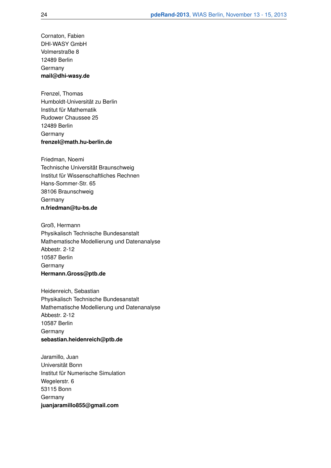Cornaton, Fabien DHI-WASY GmbH Volmerstraße 8 12489 Berlin Germany **mail@dhi-wasy.de**

Frenzel, Thomas Humboldt-Universität zu Berlin Institut für Mathematik Rudower Chaussee 25 12489 Berlin Germany **frenzel@math.hu-berlin.de**

Friedman, Noemi Technische Universität Braunschweig Institut für Wissenschaftliches Rechnen Hans-Sommer-Str. 65 38106 Braunschweig **Germany n.friedman@tu-bs.de**

Groß, Hermann Physikalisch Technische Bundesanstalt Mathematische Modellierung und Datenanalyse Abbestr. 2-12 10587 Berlin Germany **Hermann.Gross@ptb.de**

Heidenreich, Sebastian Physikalisch Technische Bundesanstalt Mathematische Modellierung und Datenanalyse Abbestr. 2-12 10587 Berlin Germany **sebastian.heidenreich@ptb.de**

Jaramillo, Juan Universität Bonn Institut für Numerische Simulation Wegelerstr, 6 53115 Bonn Germany **juanjaramillo855@gmail.com**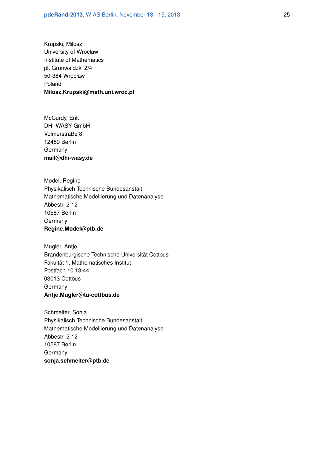Krupski, Miłosz University of Wrocław Institute of Mathematics pl. Grunwaldzki 2/4 50-384 Wrocław Poland **Milosz.Krupski@math.uni.wroc.pl**

McCurdy, Erik DHI-WASY GmbH Volmerstraße 8 12489 Berlin **Germany mail@dhi-wasy.de**

Model, Regine Physikalisch Technische Bundesanstalt Mathematische Modellierung und Datenanalyse Abbestr. 2-12 10587 Berlin Germany **Regine.Model@ptb.de**

Mugler, Antje Brandenburgische Technische Universität Cottbus Fakultät 1, Mathematisches Institut Postfach 10 13 44 03013 Cottbus Germany **Antje.Mugler@tu-cottbus.de**

Schmelter, Sonja Physikalisch Technische Bundesanstalt Mathematische Modellierung und Datenanalyse Abbestr. 2-12 10587 Berlin Germany **sonja.schmelter@ptb.de**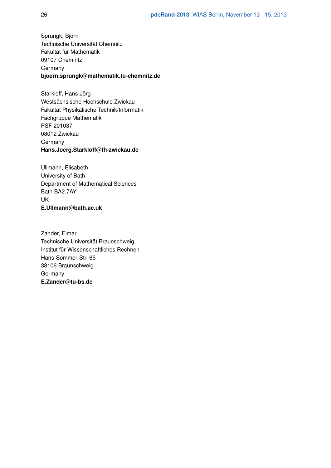Sprungk, Björn Technische Universität Chemnitz Fakultät für Mathematik 09107 Chemnitz **Germany bjoern.sprungk@mathematik.tu-chemnitz.de**

Starkloff, Hans-Jörg Westsächsische Hochschule Zwickau Fakultät Physikalische Technik/Informatik Fachgruppe Mathematik PSF 201037 08012 Zwickau Germany **Hans.Joerg.Starkloff@fh-zwickau.de**

Ullmann, Elisabeth University of Bath Department of Mathematical Sciences Bath BA2 7AY UK **E.Ullmann@bath.ac.uk**

Zander, Elmar Technische Universität Braunschweig Institut für Wissenschaftliches Rechnen Hans-Sommer-Str. 65 38106 Braunschweig **Germany E.Zander@tu-bs.de**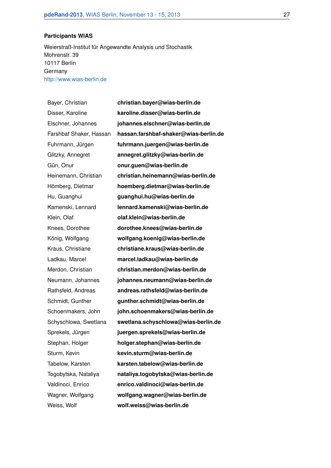#### **Participants WIAS**

Weierstraß-Institut für Angewandte Analysis und Stochastik Mohrenstr. 39 10117 Berlin Germany http://www.wias-berlin.de

Bayer, Christian **christian.bayer@wias-berlin.de** Disser, Karoline **karoline.disser@wias-berlin.de** Elschner, Johannes **johannes.elschner@wias-berlin.de** Farshbaf Shaker, Hassan **hassan.farshbaf-shaker@wias-berlin.de** Fuhrmann, Jürgen **fuhrmann.juergen@wias-berlin.de** Glitzky, Annegret **annegret.glitzky@wias-berlin.de** Gün, Onur **onur.guen@wias-berlin.de** Heinemann, Christian **christian.heinemann@wias-berlin.de** Hömberg, Dietmar **hoemberg.dietmar@wias-berlin.de** Hu, Guanghui **guanghui.hu@wias-berlin.de** Kamenski, Lennard **lennard.kamenski@wias-berlin.de** Klein, Olaf **olaf.klein@wias-berlin.de** Knees, Dorothee **dorothee.knees@wias-berlin.de** König, Wolfgang **wolfgang.koenig@wias-berlin.de** Kraus, Christiane **christiane.kraus@wias-berlin.de** Ladkau, Marcel **marcel.ladkau@wias-berlin.de** Merdon, Christian **christian.merdon@wias-berlin.de** Neumann, Johannes **johannes.neumann@wias-berlin.de** Rathsfeld, Andreas **andreas.rathsfeld@wias-berlin.de** Schmidt, Gunther **gunther.schmidt@wias-berlin.de** Schoenmakers, John **john.schoenmakers@wias-berlin.de** Schyschlowa, Swetlana **swetlana.schyschlowa@wias-berlin.de** Sprekels, Jürgen **juergen.sprekels@wias-berlin.de** Stephan, Holger **holger.stephan@wias-berlin.de** Sturm, Kevin **kevin.sturm@wias-berlin.de** Tabelow, Karsten **karsten.tabelow@wias-berlin.de** Togobytska, Nataliya **nataliya.togobytska@wias-berlin.de** Valdinoci, Enrico **enrico.valdinoci@wias-berlin.de** Wagner, Wolfgang **wolfgang.wagner@wias-berlin.de** Weiss, Wolf **wolf.weiss@wias-berlin.de**